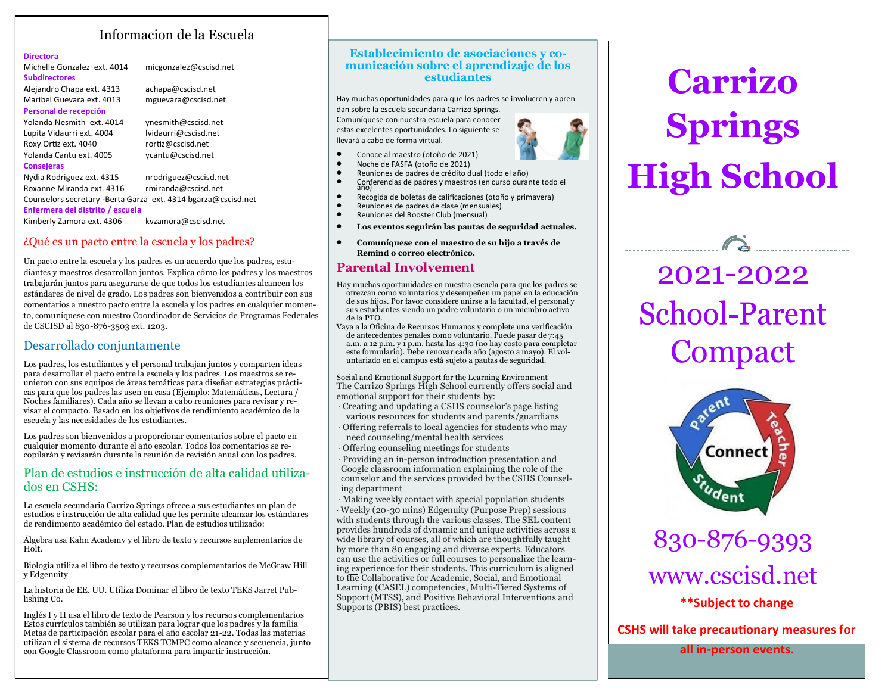# Informacion de la Escuela

#### **Directora**

Michelle Gonzalez ext. 4014 micgonzalez@cscisd.net **Subdirectores**

Alejandro Chapa ext. 4313 achapa@cscisd.net Maribel Guevara ext. 4013 mguevara@cscisd.net **Personal de recepción** Yolanda Nesmith ext. 4014 vnesmith@cscisd.net Lupita Vidaurri ext. 4004 lvidaurri@cscisd.net Roxy Ortiz ext. 4040 rortiz@cscisd.net Yolanda Cantu ext. 4005 ycantu@cscisd.net **Consejeras**

Nydia Rodriguez ext. 4315 nrodriguez@cscisd.net Roxanne Miranda ext. 4316 rmiranda@cscisd.net Counselors secretary -Berta Garza ext. 4314 bgarza@cscisd.net **Enfermera del distrito / escuela** Kimberly Zamora ext. 4306 kvzamora@cscisd.net

## ¿Qué es un pacto entre la escuela y los padres?

Un pacto entre la escuela y los padres es un acuerdo que los padres, estudiantes y maestros desarrollan juntos. Explica cómo los padres y los maestros trabajarán juntos para asegurarse de que todos los estudiantes alcancen los estándares de nivel de grado. Los padres son bienvenidos a contribuir con sus comentarios a nuestro pacto entre la escuela y los padres en cualquier momento, comuníquese con nuestro Coordinador de Servicios de Programas Federales de CSCISD al 830-876-3503 ext. 1203.

## Desarrollado conjuntamente

Los padres, los estudiantes y el personal trabajan juntos y comparten ideas para desarrollar el pacto entre la escuela y los padres. Los maestros se reunieron con sus equipos de áreas temáticas para diseñar estrategias prácticas para que los padres las usen en casa (Ejemplo: Matemáticas, Lectura / Noches familiares). Cada año se llevan a cabo reuniones para revisar y revisar el compacto. Basado en los objetivos de rendimiento académico de la escuela y las necesidades de los estudiantes.

Los padres son bienvenidos a proporcionar comentarios sobre el pacto en cualquier momento durante el año escolar. Todos los comentarios se recopilarán y revisarán durante la reunión de revisión anual con los padres.

# Plan de estudios e instrucción de alta calidad utilizados en CSHS:

La escuela secundaria Carrizo Springs ofrece a sus estudiantes un plan de estudios e instrucción de alta calidad que les permite alcanzar los estándares de rendimiento académico del estado. Plan de estudios utilizado:

Álgebra usa Kahn Academy y el libro de texto y recursos suplementarios de Holt.

Biología utiliza el libro de texto y recursos complementarios de McGraw Hill y Edgenuity

La historia de EE. UU. Utiliza Dominar el libro de texto TEKS Jarret Publishing Co.

Inglés I y II usa el libro de texto de Pearson y los recursos complementarios Estos currículos también se utilizan para lograr que los padres y la familia Metas de participación escolar para el año escolar 21-22. Todas las materias utilizan el sistema de recursos TEKS TCMPC como alcance y secuencia, junto con Google Classroom como plataforma para impartir instrucción.

#### **Establecimiento de asociaciones y comunicación sobre el aprendizaje de los estudiantes**

Hay muchas oportunidades para que los padres se involucren y aprendan sobre la escuela secundaria Carrizo Springs. Comuníquese con nuestra escuela para conocer estas excelentes oportunidades. Lo siguiente se llevará a cabo de forma virtual.

- Conoce al maestro (otoño de 2021)
- Noche de FASFA (otoño de 2021)
- Reuniones de padres de crédito dual (todo el año)
- Conferencias de padres y maestros (en curso durante todo el año)<br>• Recogida de boletas de calificaciones (otoño y primavera)
- Recogida de boletas de calificaciones (otoño y primavera) • Reuniones de padres de clase (mensuales)
- Reuniones del Booster Club (mensual)
- **Los eventos seguirán las pautas de seguridad actuales.**
- **Comuníquese con el maestro de su hijo a través de Remind o correo electrónico.**

## **Parental Involvement**

- Hay muchas oportunidades en nuestra escuela para que los padres se ofrezcan como voluntarios y desempeñen un papel en la educación de sus hijos. Por favor considere unirse a la facultad, el personal y sus estudiantes siendo un padre voluntario o un miembro activo de la PTO.
- Vaya a la Oficina de Recursos Humanos y complete una verificación de antecedentes penales como voluntario. Puede pasar de 7:45 a.m. a 12 p.m. y 1 p.m. hasta las 4:30 (no hay costo para completar este formulario). Debe renovar cada año (agosto a mayo). El voluntariado en el campus está sujeto a pautas de seguridad.

Social and Emotional Support for the Learning Environment The Carrizo Springs High School currently offers social and emotional support for their students by:

- · Creating and updating a CSHS counselor's page listing various resources for students and parents/guardians
- Offering referrals to local agencies for students who may need counseling/mental health services
- Offering counseling meetings for students

· Providing an in-person introduction presentation and Google classroom information explaining the role of the counselor and the services provided by the CSHS Counseling department

· Making weekly contact with special population students · Weekly (20-30 mins) Edgenuity (Purpose Prep) sessions with students through the various classes. The SEL content provides hundreds of dynamic and unique activities across a wide library of courses, all of which are thoughtfully taught by more than 80 engaging and diverse experts. Educators can use the activities or full courses to personalize the learning experience for their students. This curriculum is aligned to the Collaborative for Academic, Social, and Emotional Learning (CASEL) competencies, Multi-Tiered Systems of Support (MTSS), and Positive Behavioral Interventions and Supports (PBIS) best practices.



# 2021-2022 **School-Parent Compact**

\_\_\_\_\_\_\_\_\_\_\_\_\_\_\_\_\_\_\_\_\_\_\_\_\_

3



830-876-9393 www.cscisd.net **\*\*Subject to change**

**CSHS will take precautionary measures for** 

**all in-person events.**